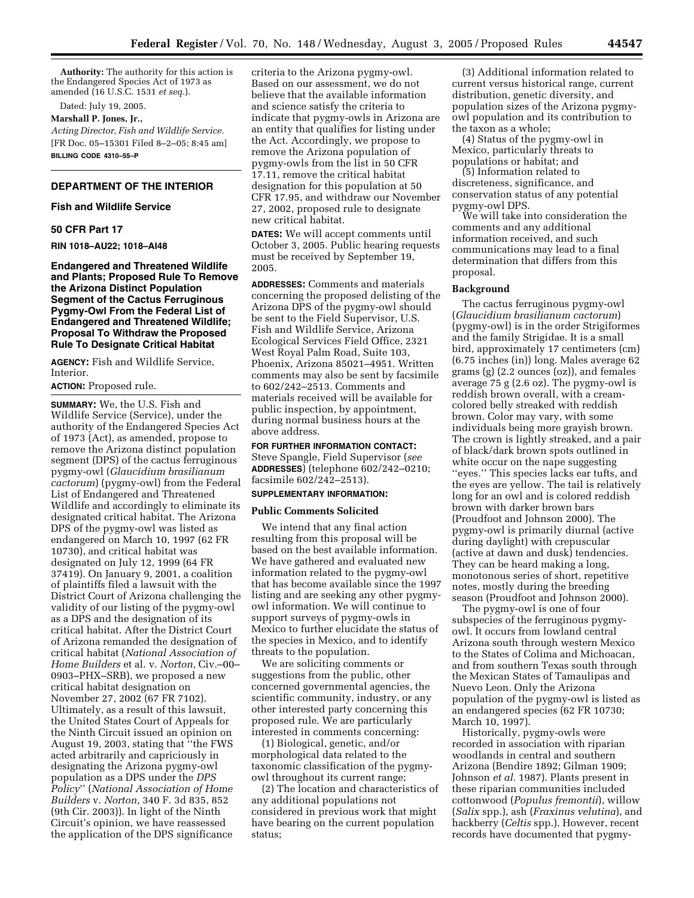**Authority:** The authority for this action is the Endangered Species Act of 1973 as amended (16 U.S.C. 1531 *et seq.*).

Dated: July 19, 2005.

### **Marshall P. Jones, Jr.,**

*Acting Director, Fish and Wildlife Service.* [FR Doc. 05–15301 Filed 8–2–05; 8:45 am] **BILLING CODE 4310–55–P**

# **DEPARTMENT OF THE INTERIOR**

### **Fish and Wildlife Service**

#### **50 CFR Part 17**

**RIN 1018–AU22; 1018–AI48** 

**Endangered and Threatened Wildlife and Plants; Proposed Rule To Remove the Arizona Distinct Population Segment of the Cactus Ferruginous Pygmy-Owl From the Federal List of Endangered and Threatened Wildlife; Proposal To Withdraw the Proposed Rule To Designate Critical Habitat**

**AGENCY:** Fish and Wildlife Service, Interior.

## **ACTION:** Proposed rule.

**SUMMARY:** We, the U.S. Fish and Wildlife Service (Service), under the authority of the Endangered Species Act of 1973 (Act), as amended, propose to remove the Arizona distinct population segment (DPS) of the cactus ferruginous pygmy-owl (*Glaucidium brasilianum cactorum*) (pygmy-owl) from the Federal List of Endangered and Threatened Wildlife and accordingly to eliminate its designated critical habitat. The Arizona DPS of the pygmy-owl was listed as endangered on March 10, 1997 (62 FR 10730), and critical habitat was designated on July 12, 1999 (64 FR 37419). On January 9, 2001, a coalition of plaintiffs filed a lawsuit with the District Court of Arizona challenging the validity of our listing of the pygmy-owl as a DPS and the designation of its critical habitat. After the District Court of Arizona remanded the designation of critical habitat (*National Association of Home Builders* et al. v. *Norton,* Civ.–00– 0903–PHX–SRB), we proposed a new critical habitat designation on November 27, 2002 (67 FR 7102). Ultimately, as a result of this lawsuit, the United States Court of Appeals for the Ninth Circuit issued an opinion on August 19, 2003, stating that ''the FWS acted arbitrarily and capriciously in designating the Arizona pygmy-owl population as a DPS under the *DPS Policy*'' (*National Association of Home Builders* v. *Norton,* 340 F. 3d 835, 852 (9th Cir. 2003)). In light of the Ninth Circuit's opinion, we have reassessed the application of the DPS significance

criteria to the Arizona pygmy-owl. Based on our assessment, we do not believe that the available information and science satisfy the criteria to indicate that pygmy-owls in Arizona are an entity that qualifies for listing under the Act. Accordingly, we propose to remove the Arizona population of pygmy-owls from the list in 50 CFR 17.11, remove the critical habitat designation for this population at 50 CFR 17.95, and withdraw our November 27, 2002, proposed rule to designate new critical habitat.

**DATES:** We will accept comments until October 3, 2005. Public hearing requests must be received by September 19, 2005.

**ADDRESSES:** Comments and materials concerning the proposed delisting of the Arizona DPS of the pygmy-owl should be sent to the Field Supervisor, U.S. Fish and Wildlife Service, Arizona Ecological Services Field Office, 2321 West Royal Palm Road, Suite 103, Phoenix, Arizona 85021–4951. Written comments may also be sent by facsimile to 602/242–2513. Comments and materials received will be available for public inspection, by appointment, during normal business hours at the above address.

**FOR FURTHER INFORMATION CONTACT:** Steve Spangle, Field Supervisor (*see* **ADDRESSES**) (telephone 602/242–0210; facsimile 602/242–2513).

### **SUPPLEMENTARY INFORMATION:**

#### **Public Comments Solicited**

We intend that any final action resulting from this proposal will be based on the best available information. We have gathered and evaluated new information related to the pygmy-owl that has become available since the 1997 listing and are seeking any other pygmyowl information. We will continue to support surveys of pygmy-owls in Mexico to further elucidate the status of the species in Mexico, and to identify threats to the population.

We are soliciting comments or suggestions from the public, other concerned governmental agencies, the scientific community, industry, or any other interested party concerning this proposed rule. We are particularly interested in comments concerning:

(1) Biological, genetic, and/or morphological data related to the taxonomic classification of the pygmyowl throughout its current range;

(2) The location and characteristics of any additional populations not considered in previous work that might have bearing on the current population status;

(3) Additional information related to current versus historical range, current distribution, genetic diversity, and population sizes of the Arizona pygmyowl population and its contribution to the taxon as a whole;

(4) Status of the pygmy-owl in Mexico, particularly threats to populations or habitat; and

(5) Information related to discreteness, significance, and conservation status of any potential pygmy-owl DPS.

We will take into consideration the comments and any additional information received, and such communications may lead to a final determination that differs from this proposal.

#### **Background**

The cactus ferruginous pygmy-owl (*Glaucidium brasilianum cactorum*) (pygmy-owl) is in the order Strigiformes and the family Strigidae. It is a small bird, approximately 17 centimeters (cm) (6.75 inches (in)) long. Males average 62 grams (g) (2.2 ounces (oz)), and females average 75 g (2.6 oz). The pygmy-owl is reddish brown overall, with a creamcolored belly streaked with reddish brown. Color may vary, with some individuals being more grayish brown. The crown is lightly streaked, and a pair of black/dark brown spots outlined in white occur on the nape suggesting ''eyes.'' This species lacks ear tufts, and the eyes are yellow. The tail is relatively long for an owl and is colored reddish brown with darker brown bars (Proudfoot and Johnson 2000). The pygmy-owl is primarily diurnal (active during daylight) with crepuscular (active at dawn and dusk) tendencies. They can be heard making a long, monotonous series of short, repetitive notes, mostly during the breeding season (Proudfoot and Johnson 2000).

The pygmy-owl is one of four subspecies of the ferruginous pygmyowl. It occurs from lowland central Arizona south through western Mexico to the States of Colima and Michoacan, and from southern Texas south through the Mexican States of Tamaulipas and Nuevo Leon. Only the Arizona population of the pygmy-owl is listed as an endangered species (62 FR 10730; March 10, 1997).

Historically, pygmy-owls were recorded in association with riparian woodlands in central and southern Arizona (Bendire 1892; Gilman 1909; Johnson *et al.* 1987). Plants present in these riparian communities included cottonwood (*Populus fremontii*), willow (*Salix* spp.), ash (*Fraxinus velutina*), and hackberry (*Celtis* spp.). However, recent records have documented that pygmy-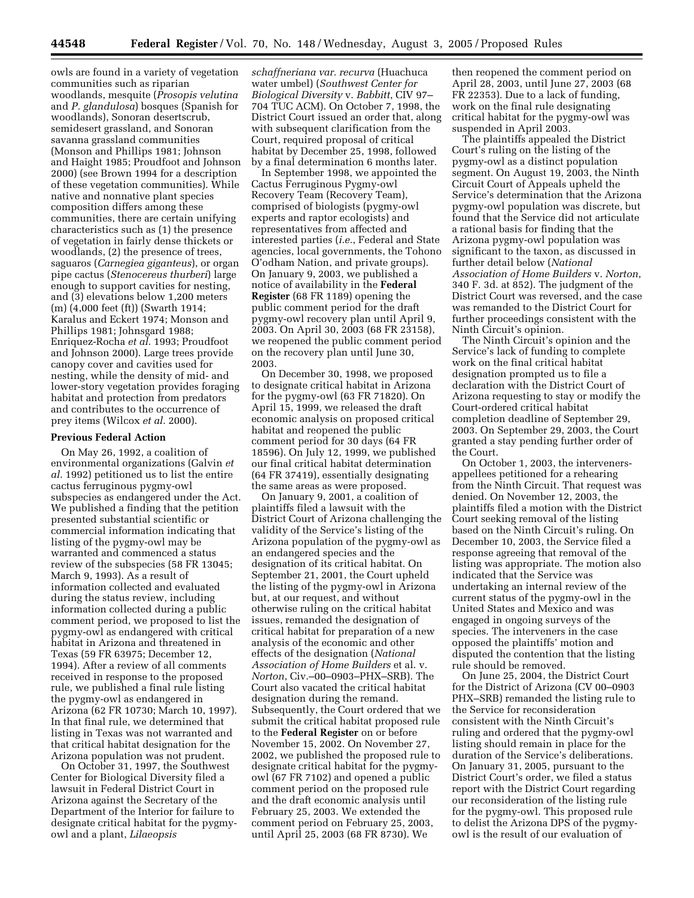owls are found in a variety of vegetation communities such as riparian woodlands, mesquite (*Prosopis velutina* and *P. glandulosa*) bosques (Spanish for woodlands), Sonoran desertscrub, semidesert grassland, and Sonoran savanna grassland communities (Monson and Phillips 1981; Johnson and Haight 1985; Proudfoot and Johnson 2000) (see Brown 1994 for a description of these vegetation communities). While native and nonnative plant species composition differs among these communities, there are certain unifying characteristics such as (1) the presence of vegetation in fairly dense thickets or woodlands, (2) the presence of trees, saguaros (*Carnegiea giganteus*), or organ pipe cactus (*Stenocereus thurberi*) large enough to support cavities for nesting, and (3) elevations below 1,200 meters (m) (4,000 feet (ft)) (Swarth 1914; Karalus and Eckert 1974; Monson and Phillips 1981; Johnsgard 1988; Enriquez-Rocha *et al.* 1993; Proudfoot and Johnson 2000). Large trees provide canopy cover and cavities used for nesting, while the density of mid- and lower-story vegetation provides foraging habitat and protection from predators and contributes to the occurrence of prey items (Wilcox *et al.* 2000).

### **Previous Federal Action**

On May 26, 1992, a coalition of environmental organizations (Galvin *et al.* 1992) petitioned us to list the entire cactus ferruginous pygmy-owl subspecies as endangered under the Act. We published a finding that the petition presented substantial scientific or commercial information indicating that listing of the pygmy-owl may be warranted and commenced a status review of the subspecies (58 FR 13045; March 9, 1993). As a result of information collected and evaluated during the status review, including information collected during a public comment period, we proposed to list the pygmy-owl as endangered with critical habitat in Arizona and threatened in Texas (59 FR 63975; December 12, 1994). After a review of all comments received in response to the proposed rule, we published a final rule listing the pygmy-owl as endangered in Arizona (62 FR 10730; March 10, 1997). In that final rule, we determined that listing in Texas was not warranted and that critical habitat designation for the Arizona population was not prudent.

On October 31, 1997, the Southwest Center for Biological Diversity filed a lawsuit in Federal District Court in Arizona against the Secretary of the Department of the Interior for failure to designate critical habitat for the pygmyowl and a plant, *Lilaeopsis* 

*schaffneriana var. recurva* (Huachuca water umbel) (*Southwest Center for Biological Diversity* v. *Babbitt*, CIV 97– 704 TUC ACM). On October 7, 1998, the District Court issued an order that, along with subsequent clarification from the Court, required proposal of critical habitat by December 25, 1998, followed by a final determination 6 months later.

In September 1998, we appointed the Cactus Ferruginous Pygmy-owl Recovery Team (Recovery Team), comprised of biologists (pygmy-owl experts and raptor ecologists) and representatives from affected and interested parties (*i.e.*, Federal and State agencies, local governments, the Tohono O'odham Nation, and private groups). On January 9, 2003, we published a notice of availability in the **Federal Register** (68 FR 1189) opening the public comment period for the draft pygmy-owl recovery plan until April 9, 2003. On April 30, 2003 (68 FR 23158), we reopened the public comment period on the recovery plan until June 30, 2003.

On December 30, 1998, we proposed to designate critical habitat in Arizona for the pygmy-owl (63 FR 71820). On April 15, 1999, we released the draft economic analysis on proposed critical habitat and reopened the public comment period for 30 days (64 FR 18596). On July 12, 1999, we published our final critical habitat determination (64 FR 37419), essentially designating the same areas as were proposed.

On January 9, 2001, a coalition of plaintiffs filed a lawsuit with the District Court of Arizona challenging the validity of the Service's listing of the Arizona population of the pygmy-owl as an endangered species and the designation of its critical habitat. On September 21, 2001, the Court upheld the listing of the pygmy-owl in Arizona but, at our request, and without otherwise ruling on the critical habitat issues, remanded the designation of critical habitat for preparation of a new analysis of the economic and other effects of the designation (*National Association of Home Builders* et al. v. *Norton*, Civ.–00–0903–PHX–SRB). The Court also vacated the critical habitat designation during the remand. Subsequently, the Court ordered that we submit the critical habitat proposed rule to the **Federal Register** on or before November 15, 2002. On November 27, 2002, we published the proposed rule to designate critical habitat for the pygmyowl (67 FR 7102) and opened a public comment period on the proposed rule and the draft economic analysis until February 25, 2003. We extended the comment period on February 25, 2003, until April 25, 2003 (68 FR 8730). We

then reopened the comment period on April 28, 2003, until June 27, 2003 (68 FR 22353). Due to a lack of funding, work on the final rule designating critical habitat for the pygmy-owl was suspended in April 2003.

The plaintiffs appealed the District Court's ruling on the listing of the pygmy-owl as a distinct population segment. On August 19, 2003, the Ninth Circuit Court of Appeals upheld the Service's determination that the Arizona pygmy-owl population was discrete, but found that the Service did not articulate a rational basis for finding that the Arizona pygmy-owl population was significant to the taxon, as discussed in further detail below (*National Association of Home Builders* v. *Norton*, 340 F. 3d. at 852). The judgment of the District Court was reversed, and the case was remanded to the District Court for further proceedings consistent with the Ninth Circuit's opinion.

The Ninth Circuit's opinion and the Service's lack of funding to complete work on the final critical habitat designation prompted us to file a declaration with the District Court of Arizona requesting to stay or modify the Court-ordered critical habitat completion deadline of September 29, 2003. On September 29, 2003, the Court granted a stay pending further order of the Court.

On October 1, 2003, the intervenersappellees petitioned for a rehearing from the Ninth Circuit. That request was denied. On November 12, 2003, the plaintiffs filed a motion with the District Court seeking removal of the listing based on the Ninth Circuit's ruling. On December 10, 2003, the Service filed a response agreeing that removal of the listing was appropriate. The motion also indicated that the Service was undertaking an internal review of the current status of the pygmy-owl in the United States and Mexico and was engaged in ongoing surveys of the species. The interveners in the case opposed the plaintiffs' motion and disputed the contention that the listing rule should be removed.

On June 25, 2004, the District Court for the District of Arizona (CV 00–0903 PHX–SRB) remanded the listing rule to the Service for reconsideration consistent with the Ninth Circuit's ruling and ordered that the pygmy-owl listing should remain in place for the duration of the Service's deliberations. On January 31, 2005, pursuant to the District Court's order, we filed a status report with the District Court regarding our reconsideration of the listing rule for the pygmy-owl. This proposed rule to delist the Arizona DPS of the pygmyowl is the result of our evaluation of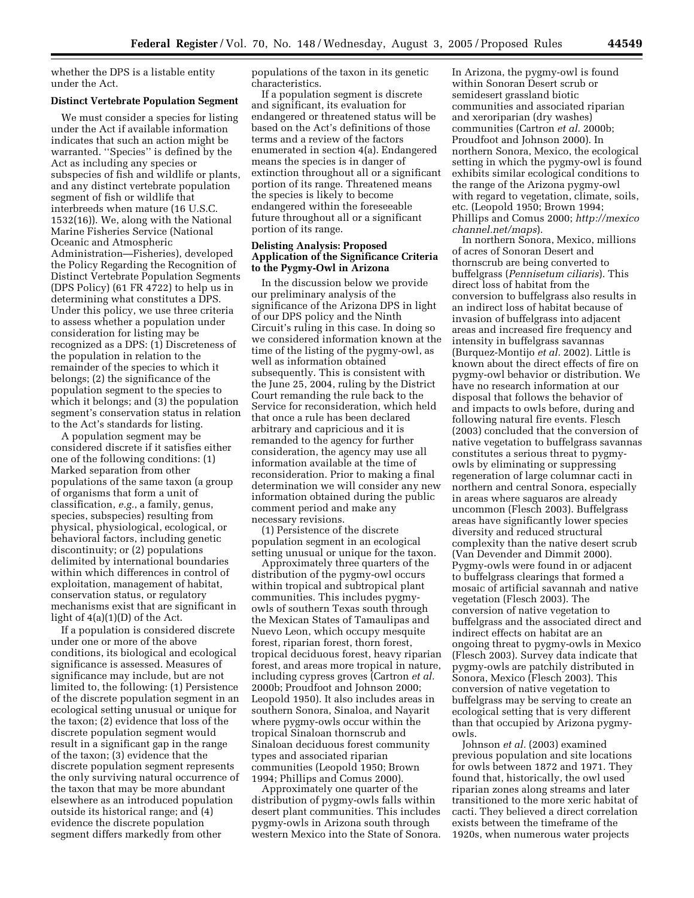whether the DPS is a listable entity under the Act.

### **Distinct Vertebrate Population Segment**

We must consider a species for listing under the Act if available information indicates that such an action might be warranted. ''Species'' is defined by the Act as including any species or subspecies of fish and wildlife or plants, and any distinct vertebrate population segment of fish or wildlife that interbreeds when mature (16 U.S.C. 1532(16)). We, along with the National Marine Fisheries Service (National Oceanic and Atmospheric Administration—Fisheries), developed the Policy Regarding the Recognition of Distinct Vertebrate Population Segments (DPS Policy) (61 FR 4722) to help us in determining what constitutes a DPS. Under this policy, we use three criteria to assess whether a population under consideration for listing may be recognized as a DPS: (1) Discreteness of the population in relation to the remainder of the species to which it belongs; (2) the significance of the population segment to the species to which it belongs; and (3) the population segment's conservation status in relation to the Act's standards for listing.

A population segment may be considered discrete if it satisfies either one of the following conditions: (1) Marked separation from other populations of the same taxon (a group of organisms that form a unit of classification, *e.g.*, a family, genus, species, subspecies) resulting from physical, physiological, ecological, or behavioral factors, including genetic discontinuity; or (2) populations delimited by international boundaries within which differences in control of exploitation, management of habitat, conservation status, or regulatory mechanisms exist that are significant in light of 4(a)(1)(D) of the Act.

If a population is considered discrete under one or more of the above conditions, its biological and ecological significance is assessed. Measures of significance may include, but are not limited to, the following: (1) Persistence of the discrete population segment in an ecological setting unusual or unique for the taxon; (2) evidence that loss of the discrete population segment would result in a significant gap in the range of the taxon; (3) evidence that the discrete population segment represents the only surviving natural occurrence of the taxon that may be more abundant elsewhere as an introduced population outside its historical range; and (4) evidence the discrete population segment differs markedly from other

populations of the taxon in its genetic characteristics.

If a population segment is discrete and significant, its evaluation for endangered or threatened status will be based on the Act's definitions of those terms and a review of the factors enumerated in section 4(a). Endangered means the species is in danger of extinction throughout all or a significant portion of its range. Threatened means the species is likely to become endangered within the foreseeable future throughout all or a significant portion of its range.

## **Delisting Analysis: Proposed Application of the Significance Criteria to the Pygmy-Owl in Arizona**

In the discussion below we provide our preliminary analysis of the significance of the Arizona DPS in light of our DPS policy and the Ninth Circuit's ruling in this case. In doing so we considered information known at the time of the listing of the pygmy-owl, as well as information obtained subsequently. This is consistent with the June 25, 2004, ruling by the District Court remanding the rule back to the Service for reconsideration, which held that once a rule has been declared arbitrary and capricious and it is remanded to the agency for further consideration, the agency may use all information available at the time of reconsideration. Prior to making a final determination we will consider any new information obtained during the public comment period and make any necessary revisions.

(1) Persistence of the discrete population segment in an ecological setting unusual or unique for the taxon.

Approximately three quarters of the distribution of the pygmy-owl occurs within tropical and subtropical plant communities. This includes pygmyowls of southern Texas south through the Mexican States of Tamaulipas and Nuevo Leon, which occupy mesquite forest, riparian forest, thorn forest, tropical deciduous forest, heavy riparian forest, and areas more tropical in nature, including cypress groves (Cartron *et al.* 2000b; Proudfoot and Johnson 2000; Leopold 1950). It also includes areas in southern Sonora, Sinaloa, and Nayarit where pygmy-owls occur within the tropical Sinaloan thornscrub and Sinaloan deciduous forest community types and associated riparian communities (Leopold 1950; Brown 1994; Phillips and Comus 2000).

Approximately one quarter of the distribution of pygmy-owls falls within desert plant communities. This includes pygmy-owls in Arizona south through western Mexico into the State of Sonora.

In Arizona, the pygmy-owl is found within Sonoran Desert scrub or semidesert grassland biotic communities and associated riparian and xeroriparian (dry washes) communities (Cartron *et al.* 2000b; Proudfoot and Johnson 2000). In northern Sonora, Mexico, the ecological setting in which the pygmy-owl is found exhibits similar ecological conditions to the range of the Arizona pygmy-owl with regard to vegetation, climate, soils, etc. (Leopold 1950; Brown 1994; [Phillips and Comus 2000;](http://mexicochannel.net.maps) *http://mexico channel.net/maps*).

In northern Sonora, Mexico, millions of acres of Sonoran Desert and thornscrub are being converted to buffelgrass (*Pennisetum ciliaris*). This direct loss of habitat from the conversion to buffelgrass also results in an indirect loss of habitat because of invasion of buffelgrass into adjacent areas and increased fire frequency and intensity in buffelgrass savannas (Burquez-Montijo *et al.* 2002). Little is known about the direct effects of fire on pygmy-owl behavior or distribution. We have no research information at our disposal that follows the behavior of and impacts to owls before, during and following natural fire events. Flesch (2003) concluded that the conversion of native vegetation to buffelgrass savannas constitutes a serious threat to pygmyowls by eliminating or suppressing regeneration of large columnar cacti in northern and central Sonora, especially in areas where saguaros are already uncommon (Flesch 2003). Buffelgrass areas have significantly lower species diversity and reduced structural complexity than the native desert scrub (Van Devender and Dimmit 2000). Pygmy-owls were found in or adjacent to buffelgrass clearings that formed a mosaic of artificial savannah and native vegetation (Flesch 2003). The conversion of native vegetation to buffelgrass and the associated direct and indirect effects on habitat are an ongoing threat to pygmy-owls in Mexico (Flesch 2003). Survey data indicate that pygmy-owls are patchily distributed in Sonora, Mexico (Flesch 2003). This conversion of native vegetation to buffelgrass may be serving to create an ecological setting that is very different than that occupied by Arizona pygmyowls.

Johnson *et al.* (2003) examined previous population and site locations for owls between 1872 and 1971. They found that, historically, the owl used riparian zones along streams and later transitioned to the more xeric habitat of cacti. They believed a direct correlation exists between the timeframe of the 1920s, when numerous water projects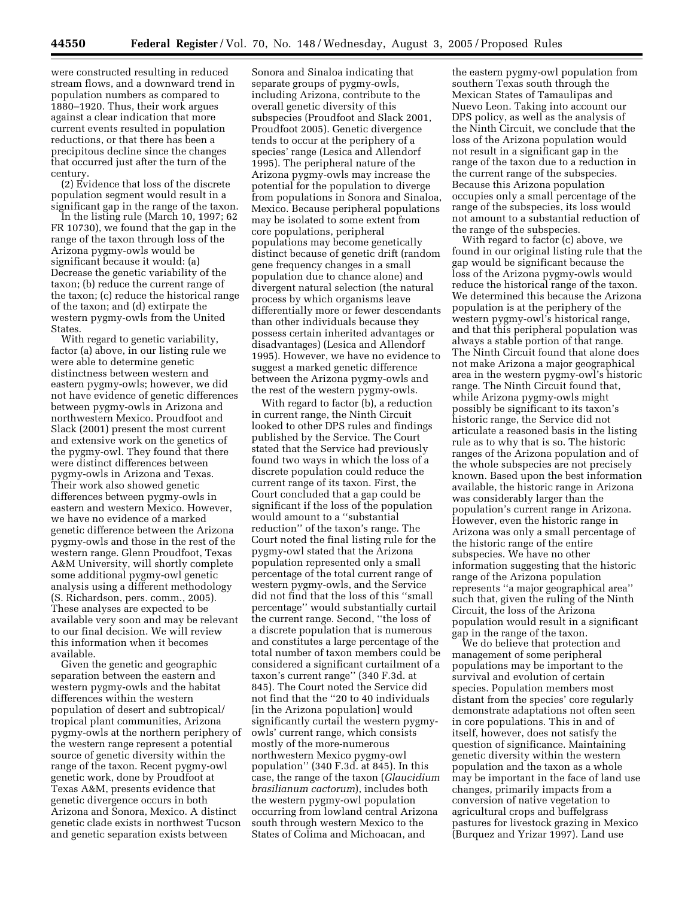were constructed resulting in reduced stream flows, and a downward trend in population numbers as compared to 1880–1920. Thus, their work argues against a clear indication that more current events resulted in population reductions, or that there has been a precipitous decline since the changes that occurred just after the turn of the century.

(2) Evidence that loss of the discrete population segment would result in a significant gap in the range of the taxon.

In the listing rule (March 10, 1997; 62 FR 10730), we found that the gap in the range of the taxon through loss of the Arizona pygmy-owls would be significant because it would: (a) Decrease the genetic variability of the taxon; (b) reduce the current range of the taxon; (c) reduce the historical range of the taxon; and (d) extirpate the western pygmy-owls from the United States.

With regard to genetic variability, factor (a) above, in our listing rule we were able to determine genetic distinctness between western and eastern pygmy-owls; however, we did not have evidence of genetic differences between pygmy-owls in Arizona and northwestern Mexico. Proudfoot and Slack (2001) present the most current and extensive work on the genetics of the pygmy-owl. They found that there were distinct differences between pygmy-owls in Arizona and Texas. Their work also showed genetic differences between pygmy-owls in eastern and western Mexico. However, we have no evidence of a marked genetic difference between the Arizona pygmy-owls and those in the rest of the western range. Glenn Proudfoot, Texas A&M University, will shortly complete some additional pygmy-owl genetic analysis using a different methodology (S. Richardson, pers. comm., 2005). These analyses are expected to be available very soon and may be relevant to our final decision. We will review this information when it becomes available.

Given the genetic and geographic separation between the eastern and western pygmy-owls and the habitat differences within the western population of desert and subtropical/ tropical plant communities, Arizona pygmy-owls at the northern periphery of the western range represent a potential source of genetic diversity within the range of the taxon. Recent pygmy-owl genetic work, done by Proudfoot at Texas A&M, presents evidence that genetic divergence occurs in both Arizona and Sonora, Mexico. A distinct genetic clade exists in northwest Tucson and genetic separation exists between

Sonora and Sinaloa indicating that separate groups of pygmy-owls, including Arizona, contribute to the overall genetic diversity of this subspecies (Proudfoot and Slack 2001, Proudfoot 2005). Genetic divergence tends to occur at the periphery of a species' range (Lesica and Allendorf 1995). The peripheral nature of the Arizona pygmy-owls may increase the potential for the population to diverge from populations in Sonora and Sinaloa, Mexico. Because peripheral populations may be isolated to some extent from core populations, peripheral populations may become genetically distinct because of genetic drift (random gene frequency changes in a small population due to chance alone) and divergent natural selection (the natural process by which organisms leave differentially more or fewer descendants than other individuals because they possess certain inherited advantages or disadvantages) (Lesica and Allendorf 1995). However, we have no evidence to suggest a marked genetic difference between the Arizona pygmy-owls and the rest of the western pygmy-owls.

With regard to factor (b), a reduction in current range, the Ninth Circuit looked to other DPS rules and findings published by the Service. The Court stated that the Service had previously found two ways in which the loss of a discrete population could reduce the current range of its taxon. First, the Court concluded that a gap could be significant if the loss of the population would amount to a ''substantial reduction'' of the taxon's range. The Court noted the final listing rule for the pygmy-owl stated that the Arizona population represented only a small percentage of the total current range of western pygmy-owls, and the Service did not find that the loss of this ''small percentage'' would substantially curtail the current range. Second, ''the loss of a discrete population that is numerous and constitutes a large percentage of the total number of taxon members could be considered a significant curtailment of a taxon's current range'' (340 F.3d. at 845). The Court noted the Service did not find that the ''20 to 40 individuals [in the Arizona population] would significantly curtail the western pygmyowls' current range, which consists mostly of the more-numerous northwestern Mexico pygmy-owl population'' (340 F.3d. at 845). In this case, the range of the taxon (*Glaucidium brasilianum cactorum*), includes both the western pygmy-owl population occurring from lowland central Arizona south through western Mexico to the States of Colima and Michoacan, and

the eastern pygmy-owl population from southern Texas south through the Mexican States of Tamaulipas and Nuevo Leon. Taking into account our DPS policy, as well as the analysis of the Ninth Circuit, we conclude that the loss of the Arizona population would not result in a significant gap in the range of the taxon due to a reduction in the current range of the subspecies. Because this Arizona population occupies only a small percentage of the range of the subspecies, its loss would not amount to a substantial reduction of the range of the subspecies.

With regard to factor (c) above, we found in our original listing rule that the gap would be significant because the loss of the Arizona pygmy-owls would reduce the historical range of the taxon. We determined this because the Arizona population is at the periphery of the western pygmy-owl's historical range, and that this peripheral population was always a stable portion of that range. The Ninth Circuit found that alone does not make Arizona a major geographical area in the western pygmy-owl's historic range. The Ninth Circuit found that, while Arizona pygmy-owls might possibly be significant to its taxon's historic range, the Service did not articulate a reasoned basis in the listing rule as to why that is so. The historic ranges of the Arizona population and of the whole subspecies are not precisely known. Based upon the best information available, the historic range in Arizona was considerably larger than the population's current range in Arizona. However, even the historic range in Arizona was only a small percentage of the historic range of the entire subspecies. We have no other information suggesting that the historic range of the Arizona population represents ''a major geographical area'' such that, given the ruling of the Ninth Circuit, the loss of the Arizona population would result in a significant gap in the range of the taxon.

We do believe that protection and management of some peripheral populations may be important to the survival and evolution of certain species. Population members most distant from the species' core regularly demonstrate adaptations not often seen in core populations. This in and of itself, however, does not satisfy the question of significance. Maintaining genetic diversity within the western population and the taxon as a whole may be important in the face of land use changes, primarily impacts from a conversion of native vegetation to agricultural crops and buffelgrass pastures for livestock grazing in Mexico (Burquez and Yrizar 1997). Land use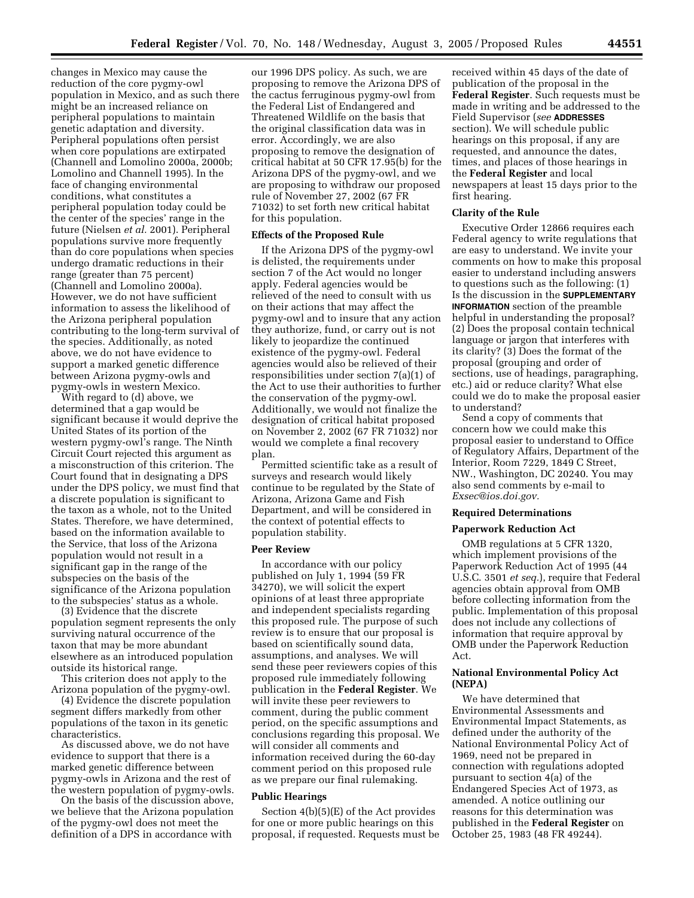changes in Mexico may cause the reduction of the core pygmy-owl population in Mexico, and as such there might be an increased reliance on peripheral populations to maintain genetic adaptation and diversity. Peripheral populations often persist when core populations are extirpated (Channell and Lomolino 2000a, 2000b; Lomolino and Channell 1995). In the face of changing environmental conditions, what constitutes a peripheral population today could be the center of the species' range in the future (Nielsen *et al.* 2001). Peripheral populations survive more frequently than do core populations when species undergo dramatic reductions in their range (greater than 75 percent) (Channell and Lomolino 2000a). However, we do not have sufficient information to assess the likelihood of the Arizona peripheral population contributing to the long-term survival of the species. Additionally, as noted above, we do not have evidence to support a marked genetic difference between Arizona pygmy-owls and pygmy-owls in western Mexico.

With regard to (d) above, we determined that a gap would be significant because it would deprive the United States of its portion of the western pygmy-owl's range. The Ninth Circuit Court rejected this argument as a misconstruction of this criterion. The Court found that in designating a DPS under the DPS policy, we must find that a discrete population is significant to the taxon as a whole, not to the United States. Therefore, we have determined, based on the information available to the Service, that loss of the Arizona population would not result in a significant gap in the range of the subspecies on the basis of the significance of the Arizona population to the subspecies' status as a whole.

(3) Evidence that the discrete population segment represents the only surviving natural occurrence of the taxon that may be more abundant elsewhere as an introduced population outside its historical range.

This criterion does not apply to the Arizona population of the pygmy-owl.

(4) Evidence the discrete population segment differs markedly from other populations of the taxon in its genetic characteristics.

As discussed above, we do not have evidence to support that there is a marked genetic difference between pygmy-owls in Arizona and the rest of the western population of pygmy-owls.

On the basis of the discussion above, we believe that the Arizona population of the pygmy-owl does not meet the definition of a DPS in accordance with

our 1996 DPS policy. As such, we are proposing to remove the Arizona DPS of the cactus ferruginous pygmy-owl from the Federal List of Endangered and Threatened Wildlife on the basis that the original classification data was in error. Accordingly, we are also proposing to remove the designation of critical habitat at 50 CFR 17.95(b) for the Arizona DPS of the pygmy-owl, and we are proposing to withdraw our proposed rule of November 27, 2002 (67 FR 71032) to set forth new critical habitat for this population.

## **Effects of the Proposed Rule**

If the Arizona DPS of the pygmy-owl is delisted, the requirements under section 7 of the Act would no longer apply. Federal agencies would be relieved of the need to consult with us on their actions that may affect the pygmy-owl and to insure that any action they authorize, fund, or carry out is not likely to jeopardize the continued existence of the pygmy-owl. Federal agencies would also be relieved of their responsibilities under section 7(a)(1) of the Act to use their authorities to further the conservation of the pygmy-owl. Additionally, we would not finalize the designation of critical habitat proposed on November 2, 2002 (67 FR 71032) nor would we complete a final recovery plan.

Permitted scientific take as a result of surveys and research would likely continue to be regulated by the State of Arizona, Arizona Game and Fish Department, and will be considered in the context of potential effects to population stability.

## **Peer Review**

In accordance with our policy published on July 1, 1994 (59 FR 34270), we will solicit the expert opinions of at least three appropriate and independent specialists regarding this proposed rule. The purpose of such review is to ensure that our proposal is based on scientifically sound data, assumptions, and analyses. We will send these peer reviewers copies of this proposed rule immediately following publication in the **Federal Register**. We will invite these peer reviewers to comment, during the public comment period, on the specific assumptions and conclusions regarding this proposal. We will consider all comments and information received during the 60-day comment period on this proposed rule as we prepare our final rulemaking.

# **Public Hearings**

Section 4(b)(5)(E) of the Act provides for one or more public hearings on this proposal, if requested. Requests must be received within 45 days of the date of publication of the proposal in the **Federal Register**. Such requests must be made in writing and be addressed to the Field Supervisor (*see* **ADDRESSES** section). We will schedule public hearings on this proposal, if any are requested, and announce the dates, times, and places of those hearings in the **Federal Register** and local newspapers at least 15 days prior to the first hearing.

### **Clarity of the Rule**

Executive Order 12866 requires each Federal agency to write regulations that are easy to understand. We invite your comments on how to make this proposal easier to understand including answers to questions such as the following: (1) Is the discussion in the **SUPPLEMENTARY INFORMATION** section of the preamble helpful in understanding the proposal? (2) Does the proposal contain technical language or jargon that interferes with its clarity? (3) Does the format of the proposal (grouping and order of sections, use of headings, paragraphing, etc.) aid or reduce clarity? What else could we do to make the proposal easier to understand?

Send a copy of comments that concern how we could make this proposal easier to understand to Office of Regulatory Affairs, Department of the Interior, Room 7229, 1849 C Street, NW., Washington, DC 20240. You may also send comments by e-mail to *Exsec@ios.doi.gov.*

### **Required Determinations**

### **Paperwork Reduction Act**

OMB regulations at 5 CFR 1320, which implement provisions of the Paperwork Reduction Act of 1995 (44 U.S.C. 3501 *et seq.*), require that Federal agencies obtain approval from OMB before collecting information from the public. Implementation of this proposal does not include any collections of information that require approval by OMB under the Paperwork Reduction Act.

### **National Environmental Policy Act (NEPA)**

We have determined that Environmental Assessments and Environmental Impact Statements, as defined under the authority of the National Environmental Policy Act of 1969, need not be prepared in connection with regulations adopted pursuant to section 4(a) of the Endangered Species Act of 1973, as amended. A notice outlining our reasons for this determination was published in the **Federal Register** on October 25, 1983 (48 FR 49244).